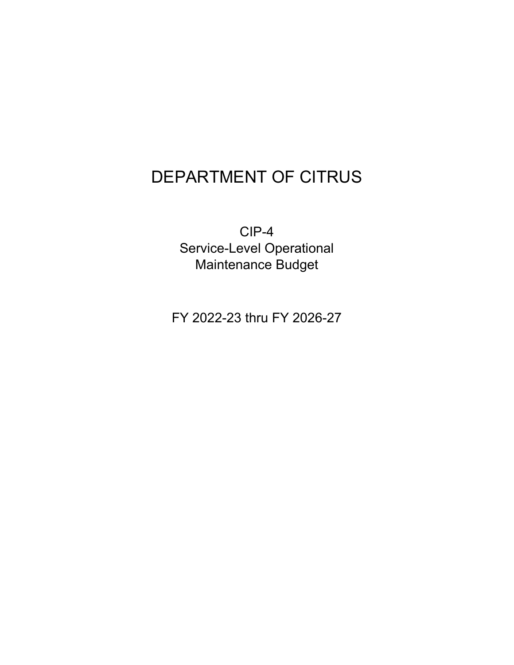## DEPARTMENT OF CITRUS

CIP-4 Service-Level Operational Maintenance Budget

FY 2022-23 thru FY 2026-27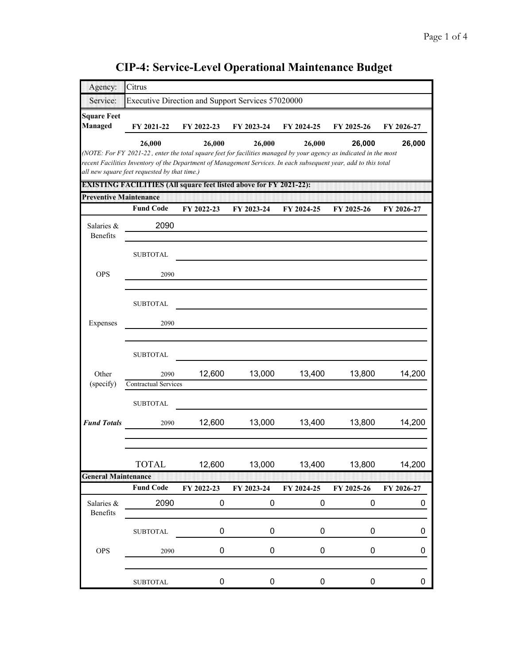| Citrus           |                                                                                                                                                   |                                                                                                          |                           |                                                                                                                                                                     |                                                                                                                                                                                                                                                                                  |
|------------------|---------------------------------------------------------------------------------------------------------------------------------------------------|----------------------------------------------------------------------------------------------------------|---------------------------|---------------------------------------------------------------------------------------------------------------------------------------------------------------------|----------------------------------------------------------------------------------------------------------------------------------------------------------------------------------------------------------------------------------------------------------------------------------|
|                  |                                                                                                                                                   |                                                                                                          |                           |                                                                                                                                                                     |                                                                                                                                                                                                                                                                                  |
|                  |                                                                                                                                                   |                                                                                                          |                           |                                                                                                                                                                     |                                                                                                                                                                                                                                                                                  |
| FY 2021-22       | FY 2022-23                                                                                                                                        | FY 2023-24                                                                                               | FY 2024-25                | FY 2025-26                                                                                                                                                          | FY 2026-27                                                                                                                                                                                                                                                                       |
| 26,000           | 26,000                                                                                                                                            | 26,000                                                                                                   | 26,000                    | 26,000                                                                                                                                                              | 26,000                                                                                                                                                                                                                                                                           |
|                  |                                                                                                                                                   |                                                                                                          |                           |                                                                                                                                                                     |                                                                                                                                                                                                                                                                                  |
|                  |                                                                                                                                                   |                                                                                                          |                           |                                                                                                                                                                     |                                                                                                                                                                                                                                                                                  |
|                  |                                                                                                                                                   |                                                                                                          |                           |                                                                                                                                                                     |                                                                                                                                                                                                                                                                                  |
| <b>Fund Code</b> | FY 2022-23                                                                                                                                        | FY 2023-24                                                                                               | FY 2024-25                |                                                                                                                                                                     | FY 2026-27                                                                                                                                                                                                                                                                       |
|                  |                                                                                                                                                   |                                                                                                          |                           |                                                                                                                                                                     |                                                                                                                                                                                                                                                                                  |
|                  |                                                                                                                                                   |                                                                                                          |                           |                                                                                                                                                                     |                                                                                                                                                                                                                                                                                  |
| <b>SUBTOTAL</b>  |                                                                                                                                                   |                                                                                                          |                           |                                                                                                                                                                     |                                                                                                                                                                                                                                                                                  |
|                  |                                                                                                                                                   |                                                                                                          |                           |                                                                                                                                                                     |                                                                                                                                                                                                                                                                                  |
|                  |                                                                                                                                                   |                                                                                                          |                           |                                                                                                                                                                     |                                                                                                                                                                                                                                                                                  |
| <b>SUBTOTAL</b>  |                                                                                                                                                   |                                                                                                          |                           |                                                                                                                                                                     |                                                                                                                                                                                                                                                                                  |
|                  |                                                                                                                                                   |                                                                                                          |                           |                                                                                                                                                                     |                                                                                                                                                                                                                                                                                  |
|                  |                                                                                                                                                   |                                                                                                          |                           |                                                                                                                                                                     |                                                                                                                                                                                                                                                                                  |
|                  |                                                                                                                                                   |                                                                                                          |                           |                                                                                                                                                                     |                                                                                                                                                                                                                                                                                  |
|                  |                                                                                                                                                   |                                                                                                          |                           |                                                                                                                                                                     |                                                                                                                                                                                                                                                                                  |
| 2090             | 12,600                                                                                                                                            | 13,000                                                                                                   | 13,400                    | 13,800                                                                                                                                                              | 14,200                                                                                                                                                                                                                                                                           |
|                  |                                                                                                                                                   |                                                                                                          |                           |                                                                                                                                                                     |                                                                                                                                                                                                                                                                                  |
| <b>SUBTOTAL</b>  |                                                                                                                                                   |                                                                                                          |                           |                                                                                                                                                                     |                                                                                                                                                                                                                                                                                  |
| 2090             | 12,600                                                                                                                                            | 13,000                                                                                                   | 13,400                    | 13,800                                                                                                                                                              | 14,200                                                                                                                                                                                                                                                                           |
|                  |                                                                                                                                                   |                                                                                                          |                           |                                                                                                                                                                     |                                                                                                                                                                                                                                                                                  |
|                  |                                                                                                                                                   |                                                                                                          |                           |                                                                                                                                                                     |                                                                                                                                                                                                                                                                                  |
|                  |                                                                                                                                                   |                                                                                                          |                           |                                                                                                                                                                     | 14,200                                                                                                                                                                                                                                                                           |
| <b>Fund Code</b> |                                                                                                                                                   |                                                                                                          |                           |                                                                                                                                                                     | FY 2026-27                                                                                                                                                                                                                                                                       |
| 2090             | 0                                                                                                                                                 | 0                                                                                                        | 0                         | $\pmb{0}$                                                                                                                                                           | 0                                                                                                                                                                                                                                                                                |
| <b>SUBTOTAL</b>  | 0                                                                                                                                                 | 0                                                                                                        | 0                         | 0                                                                                                                                                                   | 0                                                                                                                                                                                                                                                                                |
|                  |                                                                                                                                                   |                                                                                                          |                           |                                                                                                                                                                     | 0                                                                                                                                                                                                                                                                                |
|                  |                                                                                                                                                   |                                                                                                          |                           |                                                                                                                                                                     |                                                                                                                                                                                                                                                                                  |
|                  | 0                                                                                                                                                 | 0                                                                                                        | 0                         | 0                                                                                                                                                                   | 0                                                                                                                                                                                                                                                                                |
|                  | <b>Preventive Maintenance</b><br>2090<br>2090<br>2090<br><b>SUBTOTAL</b><br><b>TOTAL</b><br><b>General Maintenance</b><br>2090<br><b>SUBTOTAL</b> | all new square feet requested by that time.)<br><b>Contractual Services</b><br>12,600<br>FY 2022-23<br>0 | 13,000<br>FY 2023-24<br>0 | Executive Direction and Support Services 57020000<br><b>EXISTING FACILITIES (All square feet listed above for FY 2021-22):</b><br>13,400<br>FY 2024-25<br>$\pmb{0}$ | (NOTE: For FY 2021-22, enter the total square feet for facilities managed by your agency as indicated in the most<br>recent Facilities Inventory of the Department of Management Services. In each subsequent year, add to this total<br>FY 2025-26<br>13,800<br>FY 2025-26<br>0 |

**CIP-4: Service-Level Operational Maintenance Budget**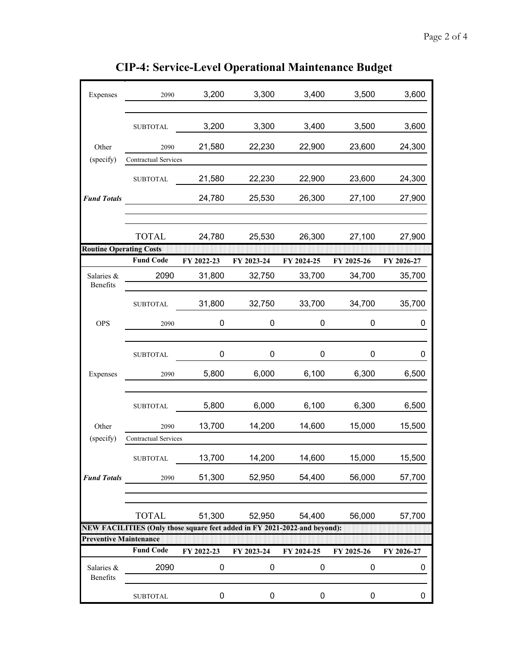| Expenses                       | 2090                                                                             | 3,200      | 3,300      | 3,400      | 3,500       | 3,600      |  |
|--------------------------------|----------------------------------------------------------------------------------|------------|------------|------------|-------------|------------|--|
|                                | <b>SUBTOTAL</b>                                                                  | 3,200      | 3,300      | 3,400      | 3,500       | 3,600      |  |
| Other                          | 2090                                                                             | 21,580     | 22,230     | 22,900     | 23,600      | 24,300     |  |
| (specify)                      | <b>Contractual Services</b>                                                      |            |            |            |             |            |  |
|                                | <b>SUBTOTAL</b>                                                                  | 21,580     | 22,230     | 22,900     | 23,600      | 24,300     |  |
| <b>Fund Totals</b>             |                                                                                  | 24,780     | 25,530     | 26,300     | 27,100      | 27,900     |  |
|                                | <b>TOTAL</b>                                                                     | 24,780     | 25,530     | 26,300     | 27,100      | 27,900     |  |
| <b>Routine Operating Costs</b> |                                                                                  |            |            |            |             |            |  |
|                                | <b>Fund Code</b>                                                                 | FY 2022-23 | FY 2023-24 | FY 2024-25 | FY 2025-26  | FY 2026-27 |  |
| Salaries &<br>Benefits         | 2090                                                                             | 31,800     | 32,750     | 33,700     | 34,700      | 35,700     |  |
|                                | <b>SUBTOTAL</b>                                                                  | 31,800     | 32,750     | 33,700     | 34,700      | 35,700     |  |
| <b>OPS</b>                     | 2090                                                                             | 0          | 0          | 0          | 0           | 0          |  |
|                                | <b>SUBTOTAL</b>                                                                  | 0          | 0          | 0          | 0           | 0          |  |
| Expenses                       | 2090                                                                             | 5,800      | 6,000      | 6,100      | 6,300       | 6,500      |  |
|                                | <b>SUBTOTAL</b>                                                                  | 5,800      | 6,000      | 6,100      | 6,300       | 6,500      |  |
| Other                          | 2090                                                                             | 13,700     | 14,200     | 14,600     | 15,000      | 15,500     |  |
| (specify)                      | <b>Contractual Services</b>                                                      |            |            |            |             |            |  |
|                                | <b>SUBTOTAL</b>                                                                  | 13,700     | 14,200     | 14,600     | 15,000      | 15,500     |  |
| <b>Fund Totals</b>             | 2090                                                                             | 51,300     | 52,950     | 54,400     | 56,000      | 57,700     |  |
|                                | <b>TOTAL</b>                                                                     | 51,300     | 52,950     | 54,400     | 56,000      | 57,700     |  |
|                                | <b>NEW FACILITIES (Only those square feet added in FY 2021-2022-and beyond):</b> |            |            |            |             |            |  |
| <b>Preventive Maintenance</b>  |                                                                                  |            |            |            |             |            |  |
|                                | <b>Fund Code</b>                                                                 | FY 2022-23 | FY 2023-24 | FY 2024-25 | FY 2025-26  | FY 2026-27 |  |
| Salaries &<br>Benefits         | 2090                                                                             | 0          | 0          | 0          | 0           | 0          |  |
|                                | <b>SUBTOTAL</b>                                                                  | 0          | 0          | 0          | $\mathbf 0$ | 0          |  |

**CIP-4: Service-Level Operational Maintenance Budget**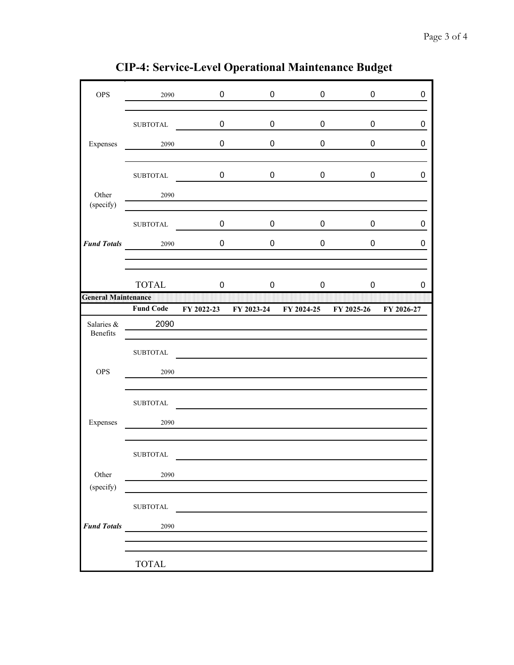| <b>OPS</b>                 | 2090                    | 0            | 0           | 0                                          | 0          | 0          |
|----------------------------|-------------------------|--------------|-------------|--------------------------------------------|------------|------------|
|                            | ${\tt SUBTOTAL}$        | 0            | 0           | 0                                          | 0          | 0          |
| Expenses                   | 2090                    | $\mathbf 0$  | 0           | 0                                          | 0          | 0          |
|                            | <b>SUBTOTAL</b>         | $\mathbf 0$  |             | $0 \qquad \qquad$<br>$\mathbf 0$           | 0          | 0          |
| Other<br>(specify)         | $-$ 2090                |              |             |                                            |            |            |
|                            | <b>SUBTOTAL</b>         | 0            | 0           | 0                                          | 0          | 0          |
|                            | <b>Fund Totals</b> 2090 | $\mathbf{0}$ |             | $\overline{0}$<br>$\mathbf 0$              | 0          | 0          |
|                            | <b>TOTAL</b>            | $\mathbf 0$  | $\mathbf 0$ | 0                                          | 0          | 0          |
| <b>General Maintenance</b> |                         |              |             |                                            |            |            |
|                            |                         |              |             | Fund Code FY 2022-23 FY 2023-24 FY 2024-25 | FY 2025-26 | FY 2026-27 |
| Salaries &<br>Benefits     | $\frac{2090}{200}$      |              |             |                                            |            |            |
|                            | <b>SUBTOTAL</b>         |              |             |                                            |            |            |
| <b>OPS</b>                 | 2090                    |              |             |                                            |            |            |
|                            | ${\tt SUBTOTAL}$        |              |             |                                            |            |            |
| Expenses                   | 2090                    |              |             |                                            |            |            |
|                            | SUBTOTAL                |              |             |                                            |            |            |
| Other<br>(specify)         | 2090                    |              |             |                                            |            |            |
|                            | ${\tt SUBTOTAL}$        |              |             |                                            |            |            |
| <b>Fund Totals</b>         | 2090                    |              |             |                                            |            |            |
|                            | <b>TOTAL</b>            |              |             |                                            |            |            |

**CIP-4: Service-Level Operational Maintenance Budget**